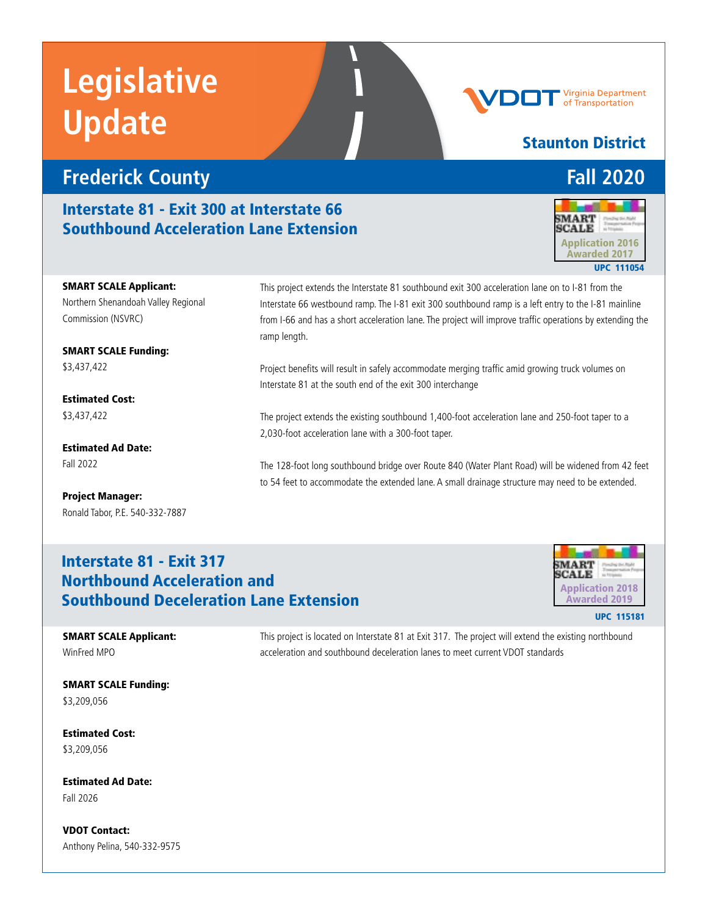# **Frederick County Fall 2020**

Interstate 81 - Exit 300 at Interstate 66 Southbound Acceleration Lane Extension



Virginia Department of Transportation

Staunton District



SMART SCALE Applicant: Northern Shenandoah Valley Regional Commission (NSVRC)

SMART SCALE Funding: \$3,437,422

Estimated Cost: \$3,437,422

Estimated Ad Date: Fall 2022

Project Manager: Ronald Tabor, P.E. 540-332-7887 This project extends the Interstate 81 southbound exit 300 acceleration lane on to I-81 from the Interstate 66 westbound ramp. The I-81 exit 300 southbound ramp is a left entry to the I-81 mainline from I-66 and has a short acceleration lane. The project will improve traffic operations by extending the ramp length.

Project benefits will result in safely accommodate merging traffic amid growing truck volumes on Interstate 81 at the south end of the exit 300 interchange

The project extends the existing southbound 1,400-foot acceleration lane and 250-foot taper to a 2,030-foot acceleration lane with a 300-foot taper.

The 128-foot long southbound bridge over Route 840 (Water Plant Road) will be widened from 42 feet to 54 feet to accommodate the extended lane. A small drainage structure may need to be extended.

## Interstate 81 - Exit 317 Northbound Acceleration and Southbound Deceleration Lane Extension Application 2018



UPC 115181

SMART SCALE Applicant: WinFred MPO

This project is located on Interstate 81 at Exit 317. The project will extend the existing northbound acceleration and southbound deceleration lanes to meet current VDOT standards

SMART SCALE Funding: \$3,209,056

Estimated Cost: \$3,209,056

Estimated Ad Date: Fall 2026

VDOT Contact: Anthony Pelina, 540-332-9575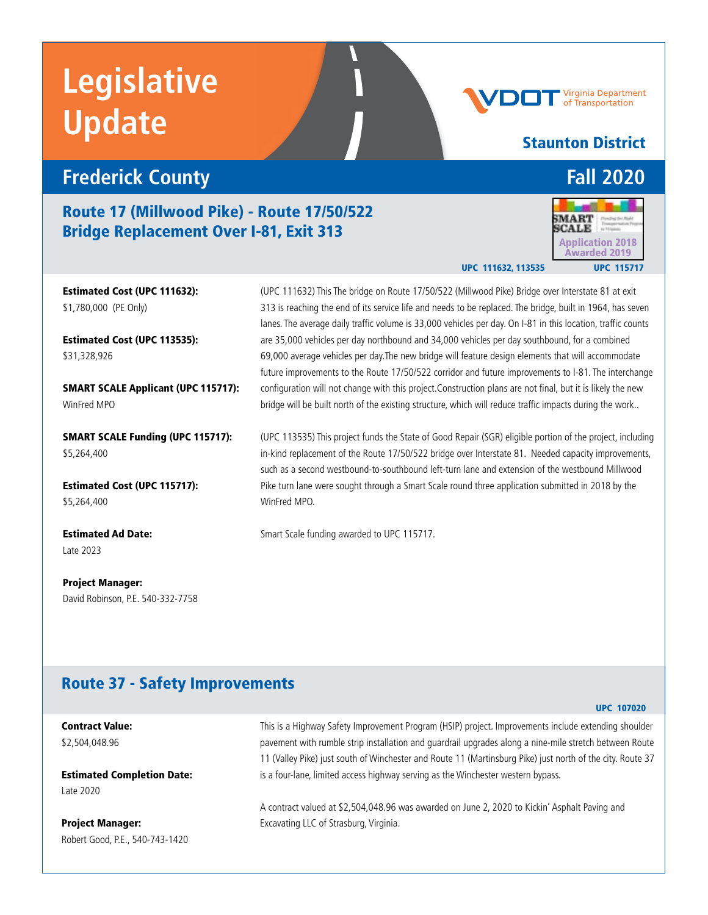# **Frederick County Fall 2020**

## Route 17 (Millwood Pike) - Route 17/50/522 Bridge Replacement Over I-81, Exit 313

Estimated Cost (UPC 111632): \$1,780,000 (PE Only)

Estimated Cost (UPC 113535): \$31,328,926

SMART SCALE Applicant (UPC 115717): WinFred MPO

SMART SCALE Funding (UPC 115717): \$5,264,400

Estimated Cost (UPC 115717): \$5,264,400

Estimated Ad Date: Late 2023

Project Manager: David Robinson, P.E. 540-332-7758 (UPC 111632) This The bridge on Route 17/50/522 (Millwood Pike) Bridge over Interstate 81 at exit 313 is reaching the end of its service life and needs to be replaced. The bridge, built in 1964, has seven lanes. The average daily traffic volume is 33,000 vehicles per day. On I-81 in this location, traffic counts are 35,000 vehicles per day northbound and 34,000 vehicles per day southbound, for a combined 69,000 average vehicles per day.The new bridge will feature design elements that will accommodate future improvements to the Route 17/50/522 corridor and future improvements to I-81. The interchange configuration will not change with this project.Construction plans are not final, but it is likely the new bridge will be built north of the existing structure, which will reduce traffic impacts during the work..

(UPC 113535) This project funds the State of Good Repair (SGR) eligible portion of the project, including in-kind replacement of the Route 17/50/522 bridge over Interstate 81. Needed capacity improvements, such as a second westbound-to-southbound left-turn lane and extension of the westbound Millwood Pike turn lane were sought through a Smart Scale round three application submitted in 2018 by the WinFred MPO.

Smart Scale funding awarded to UPC 115717.

## Route 37 - Safety Improvements

Contract Value: \$2,504,048.96

Estimated Completion Date: Late 2020

Project Manager: Robert Good, P.E., 540-743-1420 This is a Highway Safety Improvement Program (HSIP) project. Improvements include extending shoulder pavement with rumble strip installation and guardrail upgrades along a nine-mile stretch between Route 11 (Valley Pike) just south of Winchester and Route 11 (Martinsburg Pike) just north of the city. Route 37 is a four-lane, limited access highway serving as the Winchester western bypass.

A contract valued at \$2,504,048.96 was awarded on June 2, 2020 to Kickin' Asphalt Paving and Excavating LLC of Strasburg, Virginia.

# Staunton District

Virginia Department of Transportation

UPC 111632, 113535



### UPC 107020

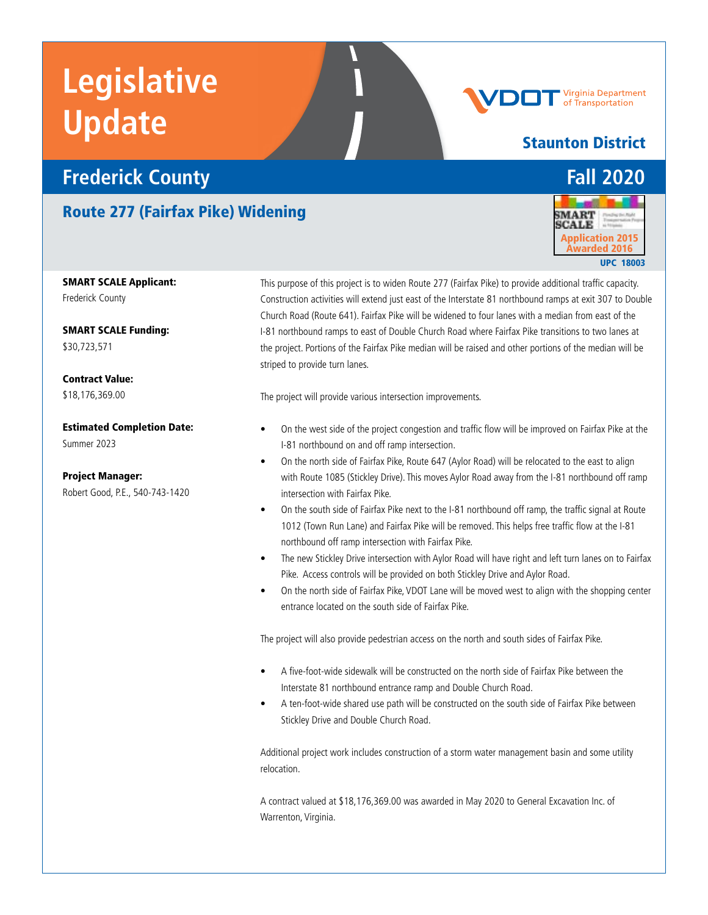# **Frederick County Fall 2020**

# Route 277 (Fairfax Pike) Widening

SMART SCALE Applicant: Frederick County

SMART SCALE Funding: \$30,723,571

Contract Value: \$18,176,369.00

Estimated Completion Date: Summer 2023

Project Manager: Robert Good, P.E., 540-743-1420

This purpose of this project is to widen Route 277 (Fairfax Pike) to provide additional traffic capacity. Construction activities will extend just east of the Interstate 81 northbound ramps at exit 307 to Double Church Road (Route 641). Fairfax Pike will be widened to four lanes with a median from east of the I-81 northbound ramps to east of Double Church Road where Fairfax Pike transitions to two lanes at the project. Portions of the Fairfax Pike median will be raised and other portions of the median will be striped to provide turn lanes.

The project will provide various intersection improvements.

- On the west side of the project congestion and traffic flow will be improved on Fairfax Pike at the I-81 northbound on and off ramp intersection.
- On the north side of Fairfax Pike, Route 647 (Aylor Road) will be relocated to the east to align with Route 1085 (Stickley Drive). This moves Aylor Road away from the I-81 northbound off ramp intersection with Fairfax Pike.
- On the south side of Fairfax Pike next to the I-81 northbound off ramp, the traffic signal at Route 1012 (Town Run Lane) and Fairfax Pike will be removed. This helps free traffic flow at the I-81 northbound off ramp intersection with Fairfax Pike.
- The new Stickley Drive intersection with Aylor Road will have right and left turn lanes on to Fairfax Pike. Access controls will be provided on both Stickley Drive and Aylor Road.
- On the north side of Fairfax Pike, VDOT Lane will be moved west to align with the shopping center entrance located on the south side of Fairfax Pike.

The project will also provide pedestrian access on the north and south sides of Fairfax Pike.

- A five-foot-wide sidewalk will be constructed on the north side of Fairfax Pike between the Interstate 81 northbound entrance ramp and Double Church Road.
- A ten-foot-wide shared use path will be constructed on the south side of Fairfax Pike between Stickley Drive and Double Church Road.

Additional project work includes construction of a storm water management basin and some utility relocation.

A contract valued at \$18,176,369.00 was awarded in May 2020 to General Excavation Inc. of Warrenton, Virginia.









# Staunton District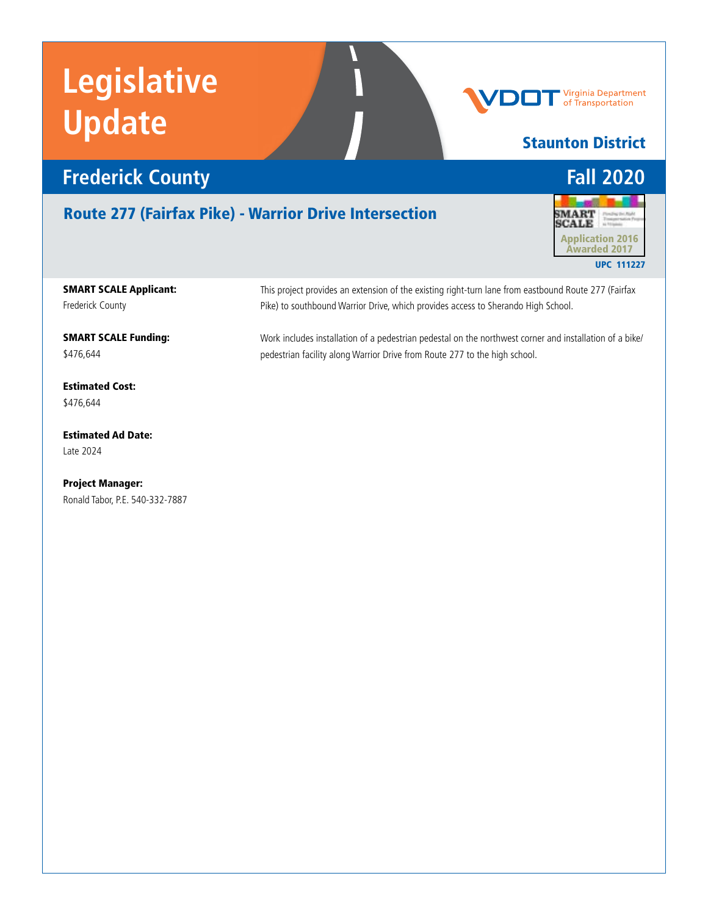

# Route 277 (Fairfax Pike) - Warrior Drive Intersection



Staunton District

**Virginia Department**<br>of Transportation

SMART SCALE Applicant: Frederick County

SMART SCALE Funding: \$476,644

Estimated Cost: \$476,644

Estimated Ad Date: Late 2024

Project Manager: Ronald Tabor, P.E. 540-332-7887 This project provides an extension of the existing right-turn lane from eastbound Route 277 (Fairfax Pike) to southbound Warrior Drive, which provides access to Sherando High School.

Work includes installation of a pedestrian pedestal on the northwest corner and installation of a bike/ pedestrian facility along Warrior Drive from Route 277 to the high school.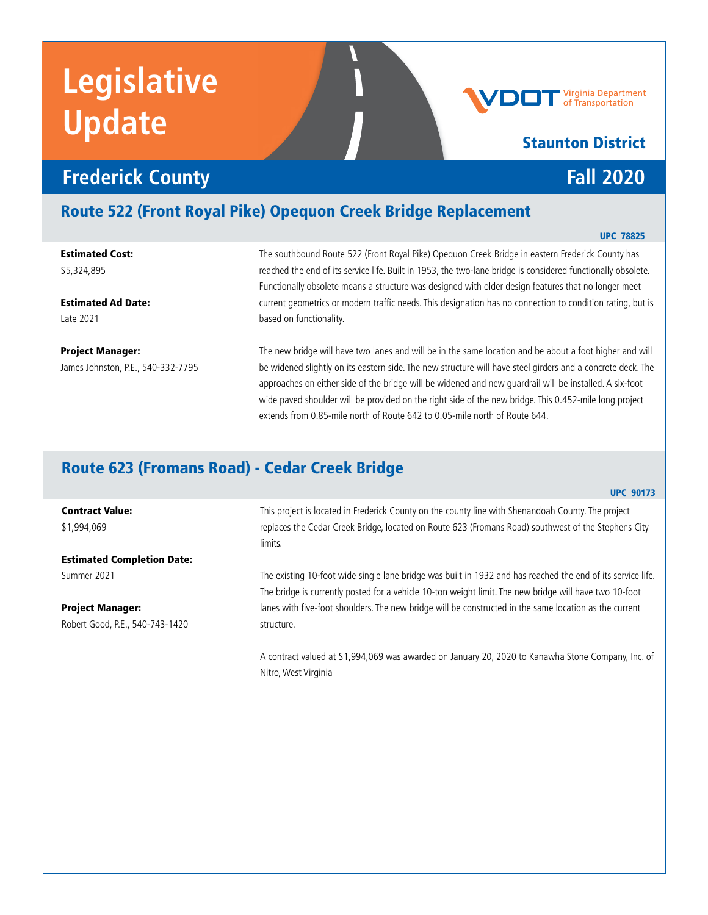

# Route 522 (Front Royal Pike) Opequon Creek Bridge Replacement

Estimated Cost: \$5,324,895

Estimated Ad Date: Late 2021

Contract Value: \$1,994,069

Summer 2021

Project Manager:

Project Manager: James Johnston, P.E., 540-332-7795

Estimated Completion Date:

Robert Good, P.E., 540-743-1420

The southbound Route 522 (Front Royal Pike) Opequon Creek Bridge in eastern Frederick County has reached the end of its service life. Built in 1953, the two-lane bridge is considered functionally obsolete. Functionally obsolete means a structure was designed with older design features that no longer meet current geometrics or modern traffic needs. This designation has no connection to condition rating, but is based on functionality.

The new bridge will have two lanes and will be in the same location and be about a foot higher and will be widened slightly on its eastern side. The new structure will have steel girders and a concrete deck. The approaches on either side of the bridge will be widened and new guardrail will be installed. A six-foot wide paved shoulder will be provided on the right side of the new bridge. This 0.452-mile long project extends from 0.85-mile north of Route 642 to 0.05-mile north of Route 644.

## Route 623 (Fromans Road) - Cedar Creek Bridge

#### UPC 90173

This project is located in Frederick County on the county line with Shenandoah County. The project replaces the Cedar Creek Bridge, located on Route 623 (Fromans Road) southwest of the Stephens City limits.

The existing 10-foot wide single lane bridge was built in 1932 and has reached the end of its service life. The bridge is currently posted for a vehicle 10-ton weight limit. The new bridge will have two 10-foot lanes with five-foot shoulders. The new bridge will be constructed in the same location as the current structure.

A contract valued at \$1,994,069 was awarded on January 20, 2020 to Kanawha Stone Company, Inc. of Nitro, West Virginia

### UPC 78825

Virginia Department

of Transportation

Staunton District

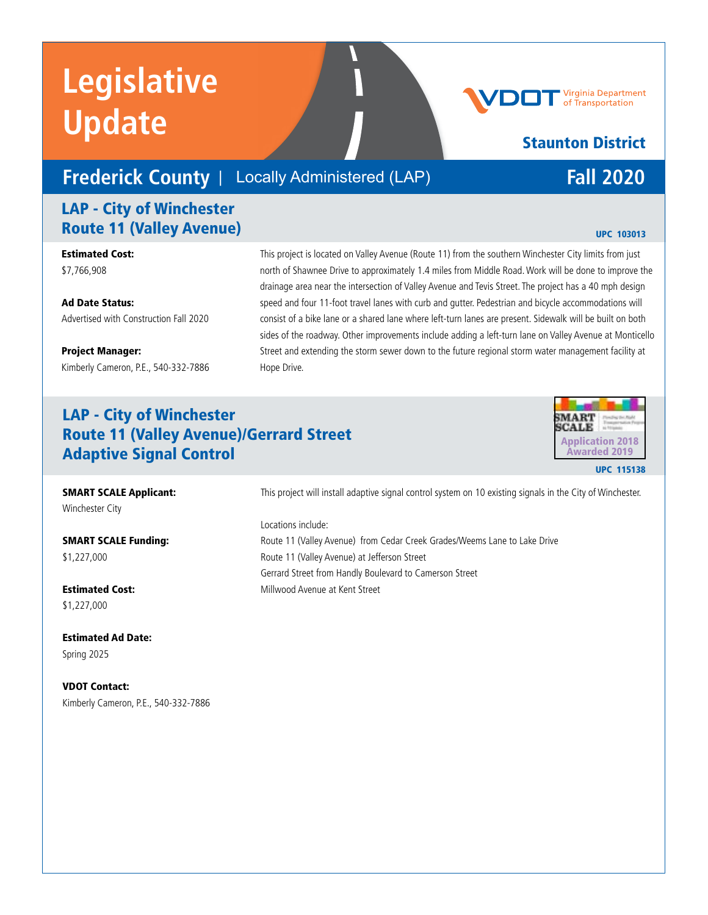# **Frederick County** | Locally Administered (LAP) **Fall 2020**

## LAP - City of Winchester **Route 11 (Valley Avenue)** UPC 103013

Estimated Cost: \$7,766,908

Ad Date Status: Advertised with Construction Fall 2020

Project Manager: Kimberly Cameron, P.E., 540-332-7886

### This project is located on Valley Avenue (Route 11) from the southern Winchester City limits from just north of Shawnee Drive to approximately 1.4 miles from Middle Road. Work will be done to improve the drainage area near the intersection of Valley Avenue and Tevis Street. The project has a 40 mph design speed and four 11-foot travel lanes with curb and gutter. Pedestrian and bicycle accommodations will consist of a bike lane or a shared lane where left-turn lanes are present. Sidewalk will be built on both sides of the roadway. Other improvements include adding a left-turn lane on Valley Avenue at Monticello Street and extending the storm sewer down to the future regional storm water management facility at Hope Drive.

# LAP - City of Winchester Route 11 (Valley Avenue)/Gerrard Street Adaptive Signal Control and the Control Control Control Control Control Control Control Control Control Contro<br>
UPC 115138



SMART SCALE Applicant: Winchester City

SMART SCALE Funding: \$1,227,000

Estimated Cost: \$1,227,000

Estimated Ad Date: Spring 2025

VDOT Contact: Kimberly Cameron, P.E., 540-332-7886 This project will install adaptive signal control system on 10 existing signals in the City of Winchester.

Locations include:

Route 11 (Valley Avenue) from Cedar Creek Grades/Weems Lane to Lake Drive Route 11 (Valley Avenue) at Jefferson Street Gerrard Street from Handly Boulevard to Camerson Street Millwood Avenue at Kent Street

# Staunton District

Virginia Department of Transportation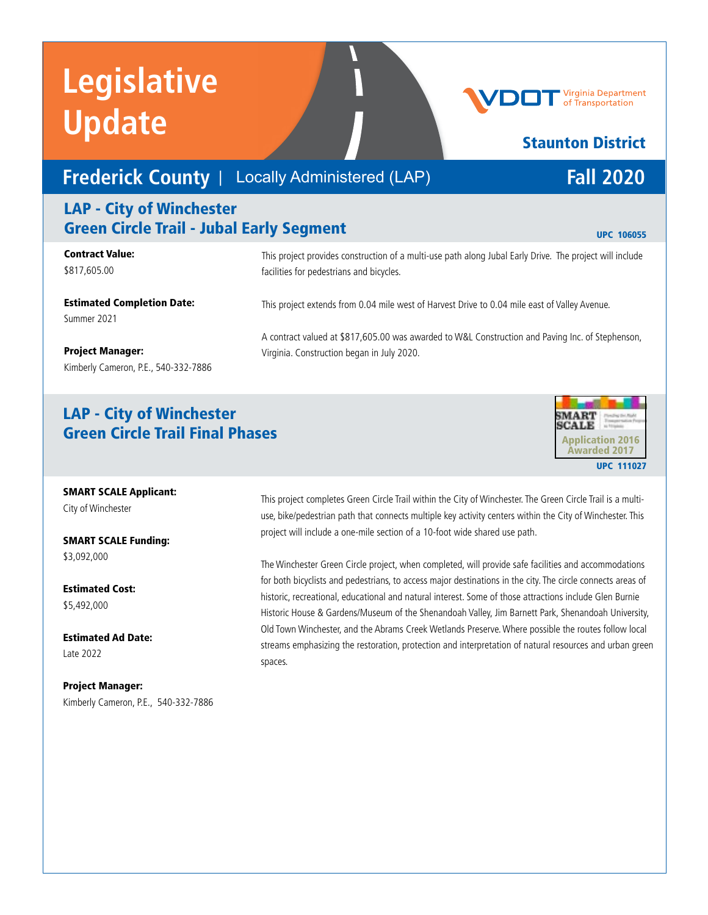# **Frederick County** | Locally Administered (LAP) **Fall 2020**

# LAP - City of Winchester Green Circle Trail - Jubal Early Segment and Discount Office of the UPC 106055

### Contract Value: \$817,605.00

This project provides construction of a multi-use path along Jubal Early Drive. The project will include facilities for pedestrians and bicycles.

A contract valued at \$817,605.00 was awarded to W&L Construction and Paving Inc. of Stephenson,

This project extends from 0.04 mile west of Harvest Drive to 0.04 mile east of Valley Avenue.

Virginia. Construction began in July 2020.

Estimated Completion Date: Summer 2021

### Project Manager:

Kimberly Cameron, P.E., 540-332-7886

## LAP - City of Winchester Green Circle Trail Final Phases



## SMART SCALE Applicant:

City of Winchester

SMART SCALE Funding: \$3,092,000

Estimated Cost: \$5,492,000

Estimated Ad Date: Late 2022

Project Manager: Kimberly Cameron, P.E., 540-332-7886 This project completes Green Circle Trail within the City of Winchester. The Green Circle Trail is a multiuse, bike/pedestrian path that connects multiple key activity centers within the City of Winchester. This project will include a one-mile section of a 10-foot wide shared use path.

The Winchester Green Circle project, when completed, will provide safe facilities and accommodations for both bicyclists and pedestrians, to access major destinations in the city. The circle connects areas of historic, recreational, educational and natural interest. Some of those attractions include Glen Burnie Historic House & Gardens/Museum of the Shenandoah Valley, Jim Barnett Park, Shenandoah University, Old Town Winchester, and the Abrams Creek Wetlands Preserve. Where possible the routes follow local streams emphasizing the restoration, protection and interpretation of natural resources and urban green spaces.

Virginia Department of Transportation

Staunton District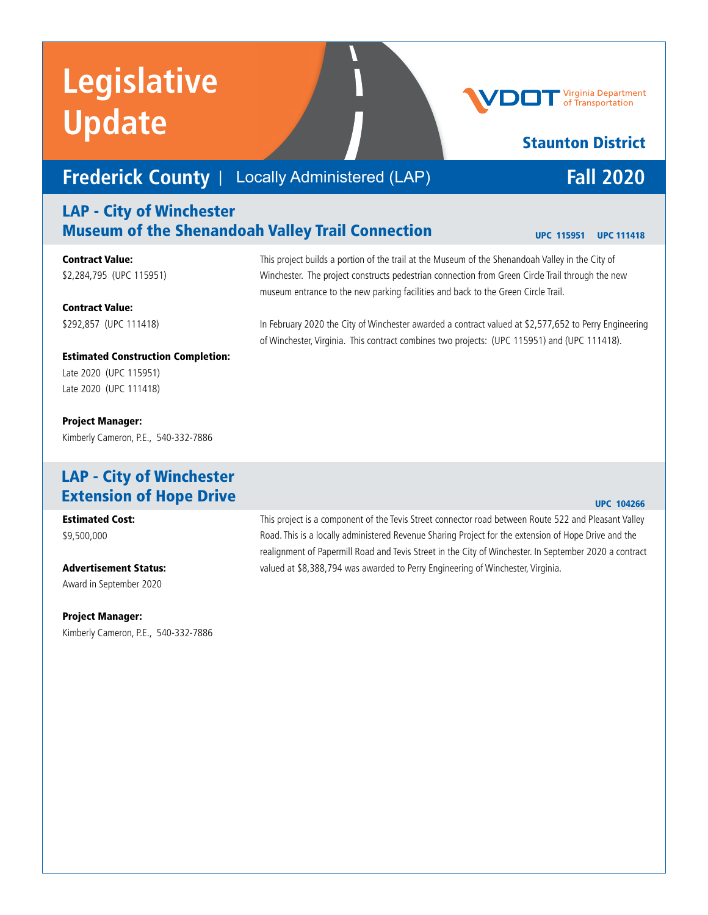# **Frederick County** | Locally Administered (LAP) **Fall 2020**

## LAP - City of Winchester Museum of the Shenandoah Valley Trail Connection

Contract Value: \$2,284,795 (UPC 115951)

Contract Value: \$292,857 (UPC 111418) museum entrance to the new parking facilities and back to the Green Circle Trail. In February 2020 the City of Winchester awarded a contract valued at \$2,577,652 to Perry Engineering

of Winchester, Virginia. This contract combines two projects: (UPC 115951) and (UPC 111418).

Estimated Construction Completion: Late 2020 (UPC 115951) Late 2020 (UPC 111418)

Project Manager: Kimberly Cameron, P.E., 540-332-7886

## LAP - City of Winchester Extension of Hope Drive

Estimated Cost: \$9,500,000

Advertisement Status: Award in September 2020

Project Manager: Kimberly Cameron, P.E., 540-332-7886

### UPC 104266

This project is a component of the Tevis Street connector road between Route 522 and Pleasant Valley Road. This is a locally administered Revenue Sharing Project for the extension of Hope Drive and the realignment of Papermill Road and Tevis Street in the City of Winchester. In September 2020 a contract valued at \$8,388,794 was awarded to Perry Engineering of Winchester, Virginia.

This project builds a portion of the trail at the Museum of the Shenandoah Valley in the City of Winchester. The project constructs pedestrian connection from Green Circle Trail through the new

Virginia Department of Transportation

# Staunton District

UPC 115951 UPC 111418